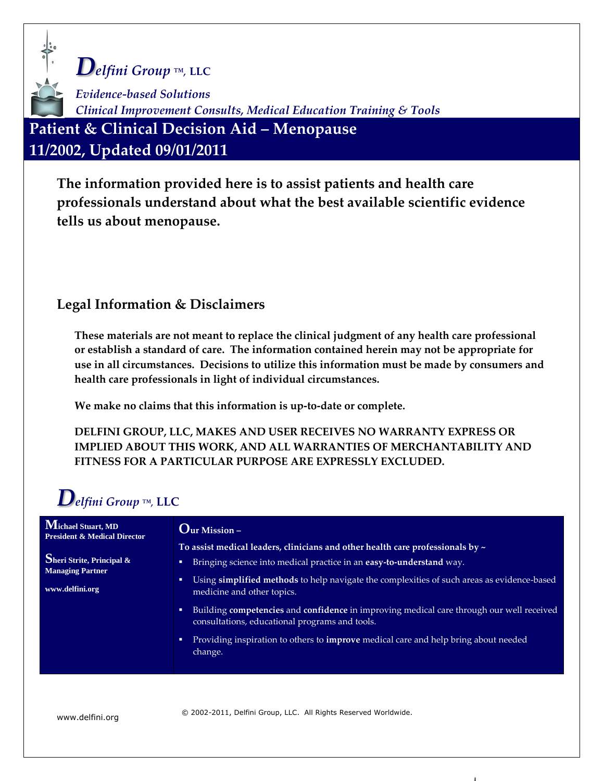*Delfini Group ™,* **LLC** *Evidence-based Solutions Clinical Improvement Consults, Medical Education Training & Tools* **Patient & Clinical Decision Aid – Menopause 11/2002, Updated 09/01/2011**

**The information provided here is to assist patients and health care professionals understand about what the best available scientific evidence tells us about menopause.**

#### **Legal Information & Disclaimers**

**These materials are not meant to replace the clinical judgment of any health care professional or establish a standard of care. The information contained herein may not be appropriate for use in all circumstances. Decisions to utilize this information must be made by consumers and health care professionals in light of individual circumstances.**

**We make no claims that this information is up-to-date or complete.**

**DELFINI GROUP, LLC, MAKES AND USER RECEIVES NO WARRANTY EXPRESS OR IMPLIED ABOUT THIS WORK, AND ALL WARRANTIES OF MERCHANTABILITY AND FITNESS FOR A PARTICULAR PURPOSE ARE EXPRESSLY EXCLUDED.** 

# *Delfini Group ™,* **LLC**

| Michael Stuart, MD<br><b>President &amp; Medical Director</b> | $Q_{\text{ur Mission}-1}$                                                                                                                       |  |  |  |
|---------------------------------------------------------------|-------------------------------------------------------------------------------------------------------------------------------------------------|--|--|--|
|                                                               | To assist medical leaders, clinicians and other health care professionals by $\sim$                                                             |  |  |  |
| Sheri Strite, Principal &<br><b>Managing Partner</b>          | Bringing science into medical practice in an easy-to-understand way.<br>$\blacksquare$                                                          |  |  |  |
| www.delfini.org                                               | Using simplified methods to help navigate the complexities of such areas as evidence-based<br>medicine and other topics.                        |  |  |  |
|                                                               | Building competencies and confidence in improving medical care through our well received<br>o<br>consultations, educational programs and tools. |  |  |  |
|                                                               | Providing inspiration to others to <b>improve</b> medical care and help bring about needed<br>п<br>change.                                      |  |  |  |

www.delfini.org © 2002-2011, Delfini Group, LLC. All Rights Reserved Worldwide.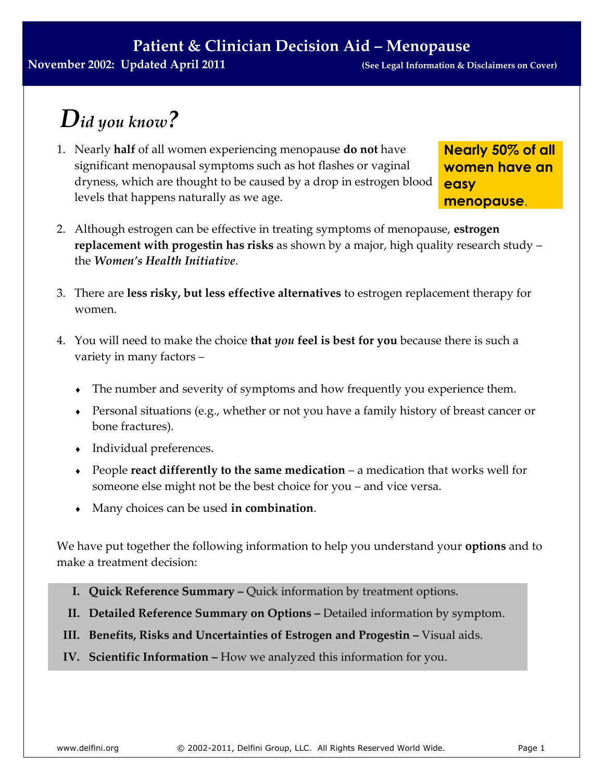# *Did you know?*

1. Nearly **half** of all women experiencing menopause **do not** have significant menopausal symptoms such as hot flashes or vaginal dryness, which are thought to be caused by a drop in estrogen blood levels that happens naturally as we age.

**Nearly 50% of all women have an easy menopause**.

- 2. Although estrogen can be effective in treating symptoms of menopause, **estrogen replacement with progestin has risks** as shown by a major, high quality research study – the *Women's Health Initiative*.
- 3. There are **less risky, but less effective alternatives** to estrogen replacement therapy for women.
- 4. You will need to make the choice **that** *you* **feel is best for you** because there is such a variety in many factors –
	- The number and severity of symptoms and how frequently you experience them.
	- Personal situations (e.g., whether or not you have a family history of breast cancer or bone fractures).
	- Individual preferences.
	- People **react differently to the same medication** a medication that works well for someone else might not be the best choice for you – and vice versa.
	- Many choices can be used **in combination**.

We have put together the following information to help you understand your **options** and to make a treatment decision:

- **I. Quick Reference Summary –** Quick information by treatment options.
- **II. Detailed Reference Summary on Options –** Detailed information by symptom.
- **III.** Benefits, Risks and Uncertainties of Estrogen and Progestin Visual aids.
- **IV. Scientific Information –** How we analyzed this information for you.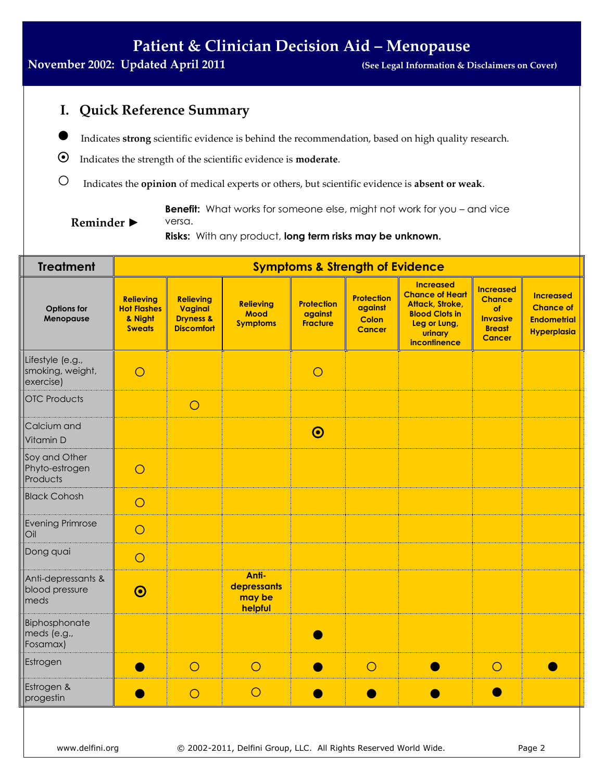#### **November 2002: Updated April 2011 (See Legal Information & Disclaimers on Cover)**

**Reminder ►**

### **I. Quick Reference Summary**

- **●** Indicates **strong** scientific evidence is behind the recommendation, based on high quality research.
- Indicates the strength of the scientific evidence is **moderate**.
- **○** Indicates the **opinion** of medical experts or others, but scientific evidence is **absent or weak**.

**Benefit:** What works for someone else, might not work for you – and vice versa.

**Risks:** With any product, **long term risks may be unknown.**

| <b>Treatment</b>                                  | <b>Symptoms &amp; Strength of Evidence</b>                         |                                                                          |                                                    |                                                 |                                                        |                                                                                                                                          |                                                                                              |                                                                                  |
|---------------------------------------------------|--------------------------------------------------------------------|--------------------------------------------------------------------------|----------------------------------------------------|-------------------------------------------------|--------------------------------------------------------|------------------------------------------------------------------------------------------------------------------------------------------|----------------------------------------------------------------------------------------------|----------------------------------------------------------------------------------|
| Options for<br>Menopause                          | <b>Relieving</b><br><b>Hot Flashes</b><br>& Night<br><b>Sweats</b> | <b>Relieving</b><br>Vaginal<br><b>Dryness &amp;</b><br><b>Discomfort</b> | <b>Relieving</b><br><b>Mood</b><br><b>Symptoms</b> | <b>Protection</b><br>against<br><b>Fracture</b> | Protection<br>against<br><b>Colon</b><br><b>Cancer</b> | <b>Increased</b><br><b>Chance of Heart</b><br><b>Attack, Stroke,</b><br><b>Blood Clots in</b><br>Leg or Lung,<br>urinary<br>incontinence | <b>Increased</b><br><b>Chance</b><br>of<br><b>Invasive</b><br><b>Breast</b><br><b>Cancer</b> | <b>Increased</b><br><b>Chance of</b><br><b>Endometrial</b><br><b>Hyperplasia</b> |
| Lifestyle (e.g.,<br>smoking, weight,<br>exercise) | $\bigcirc$                                                         |                                                                          |                                                    | $\circ$                                         |                                                        |                                                                                                                                          |                                                                                              |                                                                                  |
| <b>OTC Products</b>                               |                                                                    | $\circ$                                                                  |                                                    |                                                 |                                                        |                                                                                                                                          |                                                                                              |                                                                                  |
| Calcium and<br>Vitamin D                          |                                                                    |                                                                          |                                                    | $\odot$                                         |                                                        |                                                                                                                                          |                                                                                              |                                                                                  |
| Soy and Other<br>Phyto-estrogen<br>Products       | $\bigcirc$                                                         |                                                                          |                                                    |                                                 |                                                        |                                                                                                                                          |                                                                                              |                                                                                  |
| <b>Black Cohosh</b>                               | $\circ$                                                            |                                                                          |                                                    |                                                 |                                                        |                                                                                                                                          |                                                                                              |                                                                                  |
| Evening Primrose<br>Oil                           | $\circ$                                                            |                                                                          |                                                    |                                                 |                                                        |                                                                                                                                          |                                                                                              |                                                                                  |
| Dong quai                                         | $\circ$                                                            |                                                                          |                                                    |                                                 |                                                        |                                                                                                                                          |                                                                                              |                                                                                  |
| Anti-depressants &<br>blood pressure<br>meds      | $\odot$                                                            |                                                                          | Anti-<br>depressants<br>may be<br>helpful          |                                                 |                                                        |                                                                                                                                          |                                                                                              |                                                                                  |
| Biphosphonate<br>meds (e.g.,<br>Fosamax)          |                                                                    |                                                                          |                                                    |                                                 |                                                        |                                                                                                                                          |                                                                                              |                                                                                  |
| Estrogen                                          |                                                                    | $\circ$                                                                  | $\circ$                                            |                                                 | $\circ$                                                |                                                                                                                                          | $\circ$                                                                                      |                                                                                  |
| Estrogen &<br>progestin                           |                                                                    | $\circ$                                                                  | $\circ$                                            |                                                 |                                                        |                                                                                                                                          |                                                                                              |                                                                                  |
|                                                   |                                                                    |                                                                          |                                                    |                                                 |                                                        |                                                                                                                                          |                                                                                              |                                                                                  |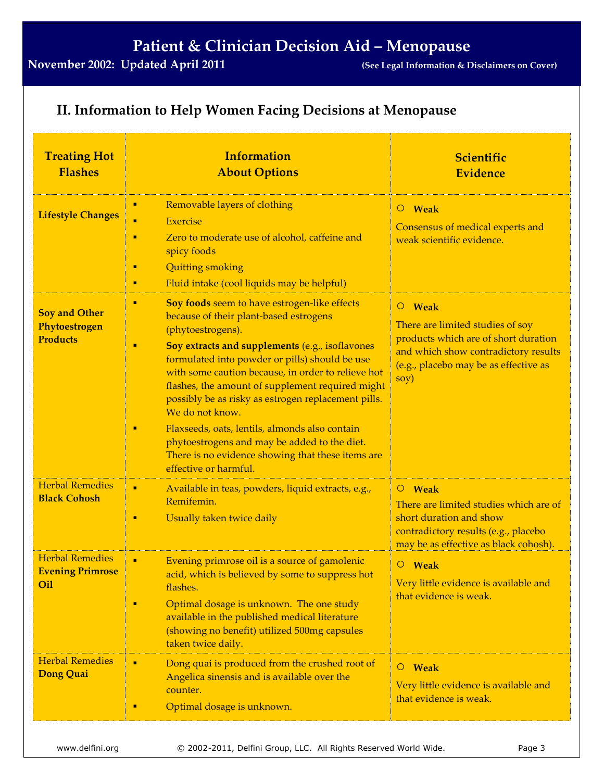### **II. Information to Help Women Facing Decisions at Menopause**

| <b>Treating Hot</b><br><b>Flashes</b>                    | <b>Information</b><br><b>About Options</b>                                                                                                                                                                                                                                                                                                                                                                                                                                                                                                                                                          | <b>Scientific</b><br><b>Evidence</b>                                                                                                                                        |  |
|----------------------------------------------------------|-----------------------------------------------------------------------------------------------------------------------------------------------------------------------------------------------------------------------------------------------------------------------------------------------------------------------------------------------------------------------------------------------------------------------------------------------------------------------------------------------------------------------------------------------------------------------------------------------------|-----------------------------------------------------------------------------------------------------------------------------------------------------------------------------|--|
| <b>Lifestyle Changes</b>                                 | Removable layers of clothing<br>п<br><b>Exercise</b><br>٠<br>Zero to moderate use of alcohol, caffeine and<br>٠<br>spicy foods<br><b>Quitting smoking</b><br>٠<br>Fluid intake (cool liquids may be helpful)<br>٠                                                                                                                                                                                                                                                                                                                                                                                   | $O$ Weak<br>Consensus of medical experts and<br>weak scientific evidence.                                                                                                   |  |
| <b>Soy and Other</b><br>Phytoestrogen<br><b>Products</b> | Soy foods seem to have estrogen-like effects<br>٠<br>because of their plant-based estrogens<br>(phytoestrogens).<br>Soy extracts and supplements (e.g., isoflavones<br>٠<br>formulated into powder or pills) should be use<br>with some caution because, in order to relieve hot<br>flashes, the amount of supplement required might<br>possibly be as risky as estrogen replacement pills.<br>We do not know.<br>Flaxseeds, oats, lentils, almonds also contain<br>٠<br>phytoestrogens and may be added to the diet.<br>There is no evidence showing that these items are<br>effective or harmful. | O Weak<br>There are limited studies of soy<br>products which are of short duration<br>and which show contradictory results<br>(e.g., placebo may be as effective as<br>soy) |  |
| <b>Herbal Remedies</b><br><b>Black Cohosh</b>            | Available in teas, powders, liquid extracts, e.g.,<br>٠<br>Remifemin.<br>Usually taken twice daily<br>٠                                                                                                                                                                                                                                                                                                                                                                                                                                                                                             | O Weak<br>There are limited studies which are of<br>short duration and show<br>contradictory results (e.g., placebo<br>may be as effective as black cohosh).                |  |
| <b>Herbal Remedies</b><br><b>Evening Primrose</b><br>Oil | ٠<br>Evening primrose oil is a source of gamolenic<br>acid, which is believed by some to suppress hot<br>flashes.<br>Optimal dosage is unknown. The one study<br>٠<br>available in the published medical literature<br>(showing no benefit) utilized 500mg capsules<br>taken twice daily.                                                                                                                                                                                                                                                                                                           | $\circ$ Weak<br>Very little evidence is available and<br>that evidence is weak.                                                                                             |  |
| <b>Herbal Remedies</b><br>Dong Quai                      | Dong quai is produced from the crushed root of<br>٠<br>Angelica sinensis and is available over the<br>counter.<br>Optimal dosage is unknown.<br>٠                                                                                                                                                                                                                                                                                                                                                                                                                                                   | <b>Weak</b><br>$\circ$<br>Very little evidence is available and<br>that evidence is weak.                                                                                   |  |

www.delfini.org © 2002-2011, Delfini Group, LLC. All Rights Reserved World Wide. Page 3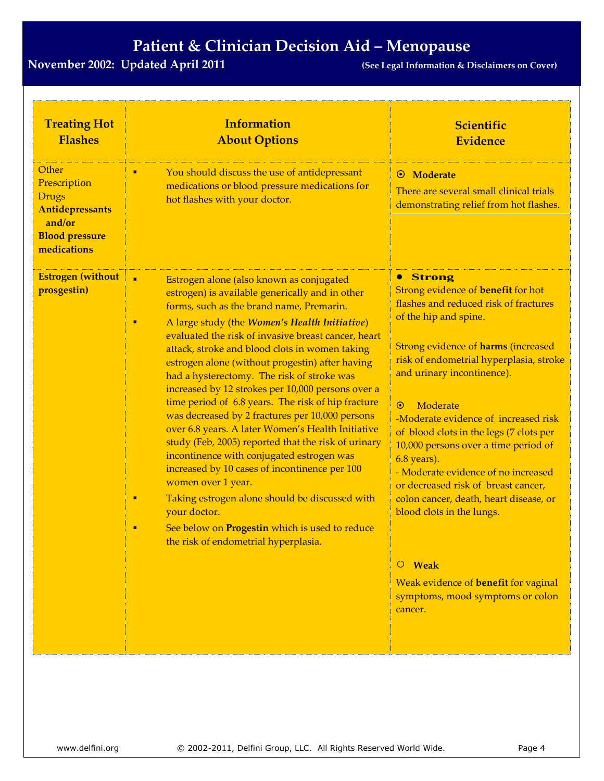| <b>Treating Hot</b><br><b>Flashes</b>                                                                      | <b>Information</b><br><b>About Options</b>                                                                                                                                                                                                                                                                                                                                                                                                                                                                                                                                                                                                                                                                                                                                                                                                                                                                                                                                               | <b>Scientific</b><br><b>Evidence</b>                                                                                                                                                                                                                                                                                                                                                                                                                                                                                                                                                                                                                                         |
|------------------------------------------------------------------------------------------------------------|------------------------------------------------------------------------------------------------------------------------------------------------------------------------------------------------------------------------------------------------------------------------------------------------------------------------------------------------------------------------------------------------------------------------------------------------------------------------------------------------------------------------------------------------------------------------------------------------------------------------------------------------------------------------------------------------------------------------------------------------------------------------------------------------------------------------------------------------------------------------------------------------------------------------------------------------------------------------------------------|------------------------------------------------------------------------------------------------------------------------------------------------------------------------------------------------------------------------------------------------------------------------------------------------------------------------------------------------------------------------------------------------------------------------------------------------------------------------------------------------------------------------------------------------------------------------------------------------------------------------------------------------------------------------------|
| Other<br>Prescription<br><b>Drugs</b><br>Antidepressants<br>and/or<br><b>Blood pressure</b><br>medications | You should discuss the use of antidepressant<br>٠<br>medications or blood pressure medications for<br>hot flashes with your doctor.                                                                                                                                                                                                                                                                                                                                                                                                                                                                                                                                                                                                                                                                                                                                                                                                                                                      | Moderate<br>$\odot$<br>There are several small clinical trials<br>demonstrating relief from hot flashes.                                                                                                                                                                                                                                                                                                                                                                                                                                                                                                                                                                     |
| <b>Estrogen</b> (without<br>prosgestin)                                                                    | $\blacksquare$<br>Estrogen alone (also known as conjugated<br>estrogen) is available generically and in other<br>forms, such as the brand name, Premarin.<br>A large study (the Women's Health Initiative)<br>٠<br>evaluated the risk of invasive breast cancer, heart<br>attack, stroke and blood clots in women taking<br>estrogen alone (without progestin) after having<br>had a hysterectomy. The risk of stroke was<br>increased by 12 strokes per 10,000 persons over a<br>time period of 6.8 years. The risk of hip fracture<br>was decreased by 2 fractures per 10,000 persons<br>over 6.8 years. A later Women's Health Initiative<br>study (Feb, 2005) reported that the risk of urinary<br>incontinence with conjugated estrogen was<br>increased by 10 cases of incontinence per 100<br>women over 1 year.<br>Taking estrogen alone should be discussed with<br>٠<br>your doctor.<br>See below on Progestin which is used to reduce<br>the risk of endometrial hyperplasia. | <b>• Strong</b><br>Strong evidence of <b>benefit</b> for hot<br>flashes and reduced risk of fractures<br>of the hip and spine.<br><b>Strong evidence of harms (increased</b><br>risk of endometrial hyperplasia, stroke<br>and urinary incontinence).<br>Moderate<br>$\odot$<br>-Moderate evidence of increased risk<br>of blood clots in the legs (7 clots per<br>10,000 persons over a time period of<br>6.8 years).<br>- Moderate evidence of no increased<br>or decreased risk of breast cancer,<br>colon cancer, death, heart disease, or<br>blood clots in the lungs.<br>O Weak<br>Weak evidence of benefit for vaginal<br>symptoms, mood symptoms or colon<br>cancer. |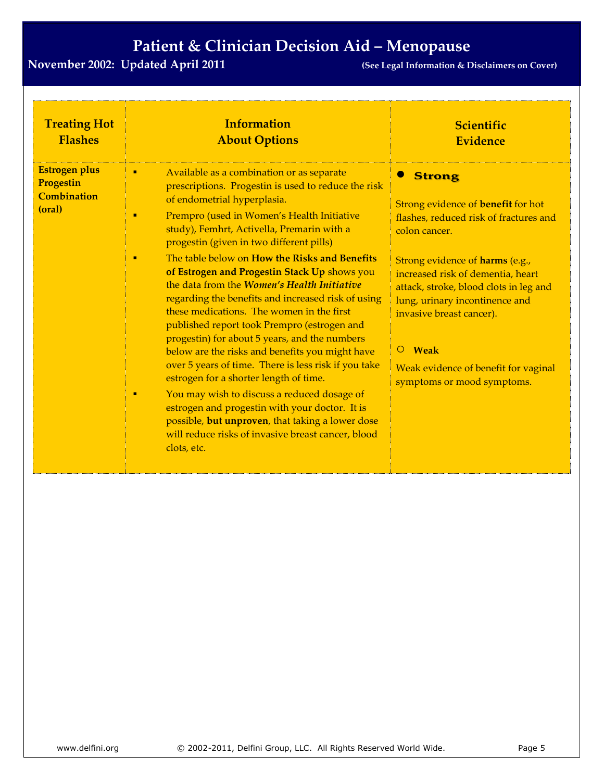| <b>Treating Hot</b>                                               | <b>Information</b>                                                                                                                                                                                                                                                                                                                                                                                                                                                                                                                                                                                                                                                                                                                                                                                                                                                                                                                                                                                                                                | Scientific                                                                                                                                                                                                                                                                                                                                                                                            |
|-------------------------------------------------------------------|---------------------------------------------------------------------------------------------------------------------------------------------------------------------------------------------------------------------------------------------------------------------------------------------------------------------------------------------------------------------------------------------------------------------------------------------------------------------------------------------------------------------------------------------------------------------------------------------------------------------------------------------------------------------------------------------------------------------------------------------------------------------------------------------------------------------------------------------------------------------------------------------------------------------------------------------------------------------------------------------------------------------------------------------------|-------------------------------------------------------------------------------------------------------------------------------------------------------------------------------------------------------------------------------------------------------------------------------------------------------------------------------------------------------------------------------------------------------|
| <b>Flashes</b>                                                    | <b>About Options</b>                                                                                                                                                                                                                                                                                                                                                                                                                                                                                                                                                                                                                                                                                                                                                                                                                                                                                                                                                                                                                              | <b>Evidence</b>                                                                                                                                                                                                                                                                                                                                                                                       |
| <b>Estrogen plus</b><br>Progestin<br><b>Combination</b><br>(oral) | Available as a combination or as separate<br>$\blacksquare$<br>prescriptions. Progestin is used to reduce the risk<br>of endometrial hyperplasia.<br>Prempro (used in Women's Health Initiative<br>٠<br>study), Femhrt, Activella, Premarin with a<br>progestin (given in two different pills)<br>The table below on How the Risks and Benefits<br>٠<br>of Estrogen and Progestin Stack Up shows you<br>the data from the <i>Women's Health Initiative</i><br>regarding the benefits and increased risk of using<br>these medications. The women in the first<br>published report took Prempro (estrogen and<br>progestin) for about 5 years, and the numbers<br>below are the risks and benefits you might have<br>over 5 years of time. There is less risk if you take<br>estrogen for a shorter length of time.<br>You may wish to discuss a reduced dosage of<br>п<br>estrogen and progestin with your doctor. It is<br>possible, but unproven, that taking a lower dose<br>will reduce risks of invasive breast cancer, blood<br>clots, etc. | <b>Strong</b><br>Strong evidence of <b>benefit</b> for hot<br>flashes, reduced risk of fractures and<br>colon cancer.<br>Strong evidence of harms (e.g.,<br>increased risk of dementia, heart<br>attack, stroke, blood clots in leg and<br>lung, urinary incontinence and<br>invasive breast cancer).<br><b>Weak</b><br>$\circ$<br>Weak evidence of benefit for vaginal<br>symptoms or mood symptoms. |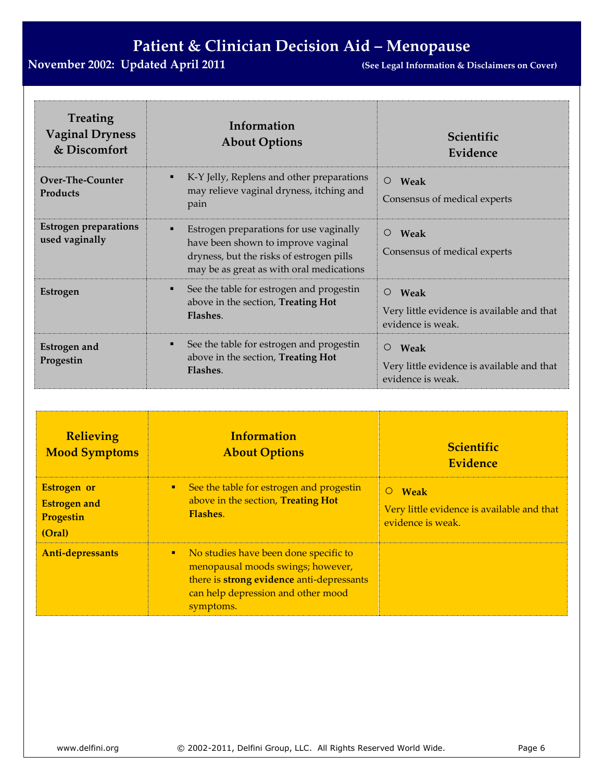| <b>Treating</b><br><b>Vaginal Dryness</b><br>& Discomfort | Information<br><b>About Options</b>                                                                                                                                        | Scientific<br>Evidence                                                             |
|-----------------------------------------------------------|----------------------------------------------------------------------------------------------------------------------------------------------------------------------------|------------------------------------------------------------------------------------|
| Over-The-Counter<br><b>Products</b>                       | K-Y Jelly, Replens and other preparations<br>٠<br>may relieve vaginal dryness, itching and<br>pain                                                                         | $\circ$<br>Weak<br>Consensus of medical experts                                    |
| <b>Estrogen preparations</b><br>used vaginally            | Estrogen preparations for use vaginally<br>٠<br>have been shown to improve vaginal<br>dryness, but the risks of estrogen pills<br>may be as great as with oral medications | $\circ$<br>Weak<br>Consensus of medical experts                                    |
| <b>Estrogen</b>                                           | See the table for estrogen and progestin<br>$\blacksquare$<br>above in the section, Treating Hot<br>Flashes.                                                               | Weak<br>$\circ$<br>Very little evidence is available and that<br>evidence is weak. |
| <b>Estrogen and</b><br>Progestin                          | See the table for estrogen and progestin<br>٠<br>above in the section, Treating Hot<br>Flashes.                                                                            | $\circ$<br>Weak<br>Very little evidence is available and that<br>evidence is weak. |

| <b>Relieving</b><br><b>Mood Symptoms</b>                         | <b>Information</b><br><b>About Options</b>                                                                                                                                       | <b>Scientific</b><br><b>Evidence</b>                                                      |
|------------------------------------------------------------------|----------------------------------------------------------------------------------------------------------------------------------------------------------------------------------|-------------------------------------------------------------------------------------------|
| <b>Estrogen</b> or<br><b>Estrogen and</b><br>Progestin<br>(Oral) | • See the table for estrogen and progestin<br>above in the section, Treating Hot<br><b>Flashes.</b>                                                                              | <b>Weak</b><br>$\circ$<br>Very little evidence is available and that<br>evidence is weak. |
| Anti-depressants                                                 | No studies have been done specific to<br>٠.<br>menopausal moods swings; however,<br>there is strong evidence anti-depressants<br>can help depression and other mood<br>symptoms. |                                                                                           |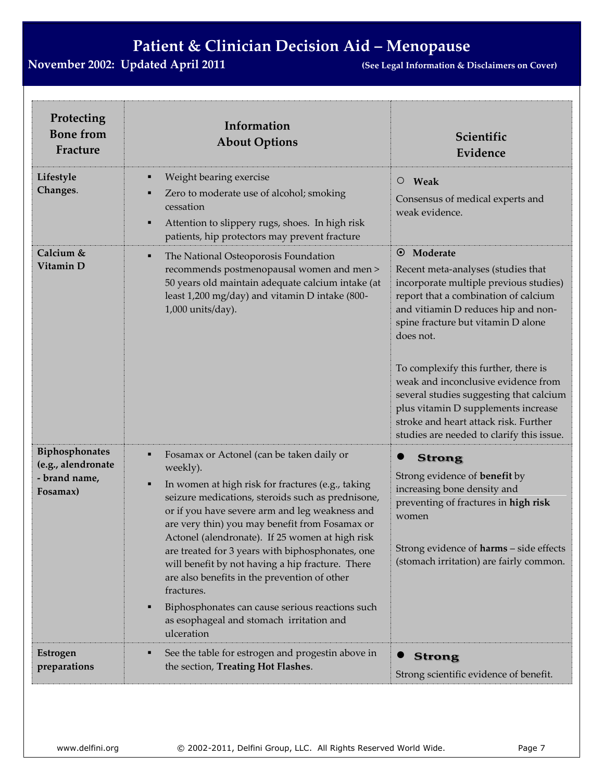| Protecting<br><b>Bone from</b><br>Fracture                        | Information<br><b>About Options</b>                                                                                                                                                                                                                                                                                                                                                                                                                                                                                                                                                                                      | Scientific<br>Evidence                                                                                                                                                                                                                                                                                                                                                                                                                                                                       |
|-------------------------------------------------------------------|--------------------------------------------------------------------------------------------------------------------------------------------------------------------------------------------------------------------------------------------------------------------------------------------------------------------------------------------------------------------------------------------------------------------------------------------------------------------------------------------------------------------------------------------------------------------------------------------------------------------------|----------------------------------------------------------------------------------------------------------------------------------------------------------------------------------------------------------------------------------------------------------------------------------------------------------------------------------------------------------------------------------------------------------------------------------------------------------------------------------------------|
| Lifestyle<br>Changes.                                             | Weight bearing exercise<br>٠<br>Zero to moderate use of alcohol; smoking<br>cessation<br>Attention to slippery rugs, shoes. In high risk<br>٠<br>patients, hip protectors may prevent fracture                                                                                                                                                                                                                                                                                                                                                                                                                           | Weak<br>$\circ$<br>Consensus of medical experts and<br>weak evidence.                                                                                                                                                                                                                                                                                                                                                                                                                        |
| Calcium &<br>Vitamin D                                            | The National Osteoporosis Foundation<br>٠<br>recommends postmenopausal women and men ><br>50 years old maintain adequate calcium intake (at<br>least 1,200 mg/day) and vitamin D intake (800-<br>1,000 units/day).                                                                                                                                                                                                                                                                                                                                                                                                       | Moderate<br>$\odot$<br>Recent meta-analyses (studies that<br>incorporate multiple previous studies)<br>report that a combination of calcium<br>and vitiamin D reduces hip and non-<br>spine fracture but vitamin D alone<br>does not.<br>To complexify this further, there is<br>weak and inconclusive evidence from<br>several studies suggesting that calcium<br>plus vitamin D supplements increase<br>stroke and heart attack risk. Further<br>studies are needed to clarify this issue. |
| Biphosphonates<br>(e.g., alendronate<br>- brand name,<br>Fosamax) | Fosamax or Actonel (can be taken daily or<br>٠<br>weekly).<br>In women at high risk for fractures (e.g., taking<br>٠<br>seizure medications, steroids such as prednisone,<br>or if you have severe arm and leg weakness and<br>are very thin) you may benefit from Fosamax or<br>Actonel (alendronate). If 25 women at high risk<br>are treated for 3 years with biphosphonates, one<br>will benefit by not having a hip fracture. There<br>are also benefits in the prevention of other<br>fractures.<br>Biphosphonates can cause serious reactions such<br>п<br>as esophageal and stomach irritation and<br>ulceration | <b>Strong</b><br>Strong evidence of <b>benefit</b> by<br>increasing bone density and<br>preventing of fractures in high risk<br>women<br>Strong evidence of harms - side effects<br>(stomach irritation) are fairly common.                                                                                                                                                                                                                                                                  |
| Estrogen<br>preparations                                          | See the table for estrogen and progestin above in<br>٠<br>the section, Treating Hot Flashes.                                                                                                                                                                                                                                                                                                                                                                                                                                                                                                                             | <b>Strong</b><br>Strong scientific evidence of benefit.                                                                                                                                                                                                                                                                                                                                                                                                                                      |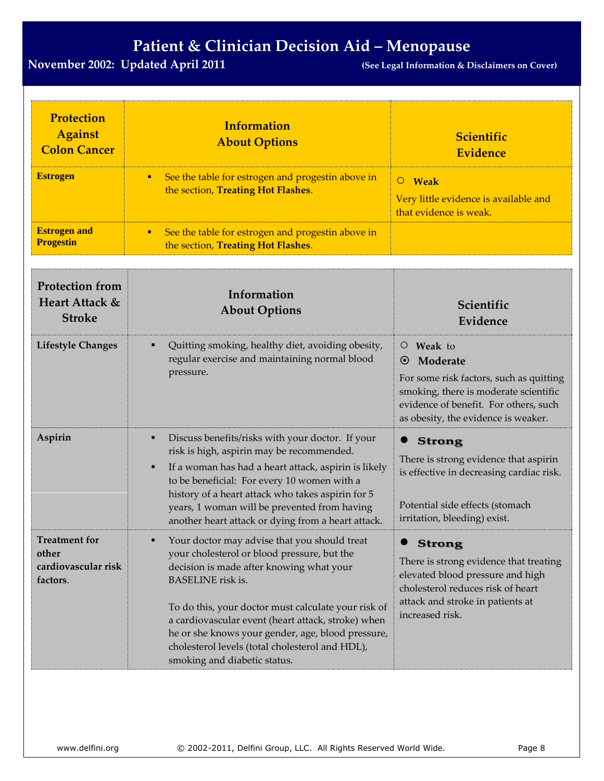| <b>Protection</b><br><b>Against</b><br><b>Colon Cancer</b><br><b>Estrogen</b> | <b>Information</b><br><b>About Options</b><br>See the table for estrogen and progestin above in<br>п                                                                                                                                                                                                                                                                                                                     | Scientific<br><b>Evidence</b><br>O Weak                                                                                                                                                                       |
|-------------------------------------------------------------------------------|--------------------------------------------------------------------------------------------------------------------------------------------------------------------------------------------------------------------------------------------------------------------------------------------------------------------------------------------------------------------------------------------------------------------------|---------------------------------------------------------------------------------------------------------------------------------------------------------------------------------------------------------------|
|                                                                               | the section, Treating Hot Flashes.                                                                                                                                                                                                                                                                                                                                                                                       | Very little evidence is available and<br>that evidence is weak.                                                                                                                                               |
| <b>Estrogen and</b><br><b>Progestin</b>                                       | See the table for estrogen and progestin above in<br>٠<br>the section, Treating Hot Flashes.                                                                                                                                                                                                                                                                                                                             |                                                                                                                                                                                                               |
| <b>Protection from</b><br>Heart Attack &<br><b>Stroke</b>                     | Information<br><b>About Options</b>                                                                                                                                                                                                                                                                                                                                                                                      | Scientific<br>Evidence                                                                                                                                                                                        |
| <b>Lifestyle Changes</b>                                                      | Quitting smoking, healthy diet, avoiding obesity,<br>regular exercise and maintaining normal blood<br>pressure.                                                                                                                                                                                                                                                                                                          | Weak to<br>$\circ$<br>Moderate<br>$\odot$<br>For some risk factors, such as quitting<br>smoking, there is moderate scientific<br>evidence of benefit. For others, such<br>as obesity, the evidence is weaker. |
| Aspirin                                                                       | Discuss benefits/risks with your doctor. If your<br>٠<br>risk is high, aspirin may be recommended.<br>If a woman has had a heart attack, aspirin is likely<br>٠<br>to be beneficial: For every 10 women with a<br>history of a heart attack who takes aspirin for 5<br>years, 1 woman will be prevented from having<br>another heart attack or dying from a heart attack.                                                | <b>Strong</b><br>There is strong evidence that aspirin<br>is effective in decreasing cardiac risk.<br>Potential side effects (stomach<br>irritation, bleeding) exist.                                         |
| Treatment for<br>other<br>cardiovascular risk<br>factors.                     | Your doctor may advise that you should treat<br>your cholesterol or blood pressure, but the<br>decision is made after knowing what your<br><b>BASELINE</b> risk is.<br>To do this, your doctor must calculate your risk of<br>a cardiovascular event (heart attack, stroke) when<br>he or she knows your gender, age, blood pressure,<br>cholesterol levels (total cholesterol and HDL),<br>smoking and diabetic status. | <b>Strong</b><br>There is strong evidence that treating<br>elevated blood pressure and high<br>cholesterol reduces risk of heart<br>attack and stroke in patients at<br>increased risk.                       |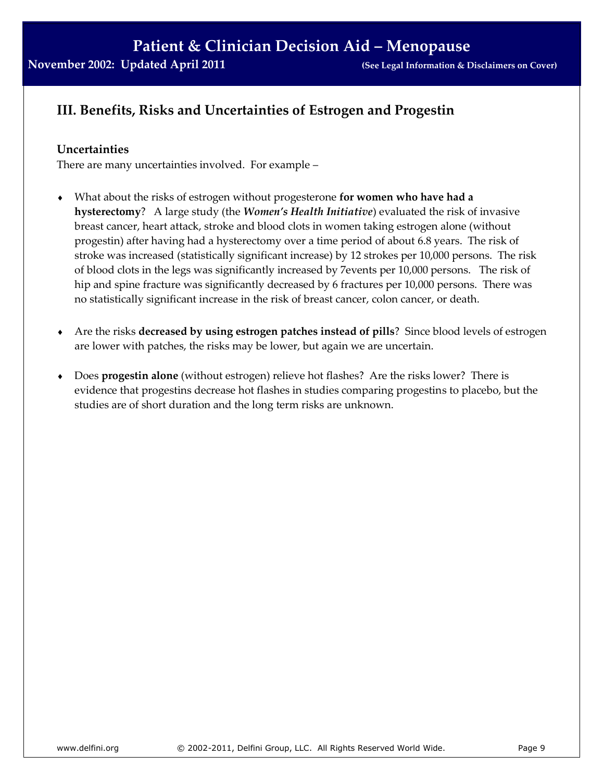### **III. Benefits, Risks and Uncertainties of Estrogen and Progestin**

#### **Uncertainties**

There are many uncertainties involved. For example –

- What about the risks of estrogen without progesterone **for women who have had a hysterectomy**? A large study (the *Women's Health Initiative*) evaluated the risk of invasive breast cancer, heart attack, stroke and blood clots in women taking estrogen alone (without progestin) after having had a hysterectomy over a time period of about 6.8 years. The risk of stroke was increased (statistically significant increase) by 12 strokes per 10,000 persons. The risk of blood clots in the legs was significantly increased by 7events per 10,000 persons. The risk of hip and spine fracture was significantly decreased by 6 fractures per 10,000 persons. There was no statistically significant increase in the risk of breast cancer, colon cancer, or death.
- Are the risks **decreased by using estrogen patches instead of pills**? Since blood levels of estrogen are lower with patches, the risks may be lower, but again we are uncertain.
- Does **progestin alone** (without estrogen) relieve hot flashes? Are the risks lower? There is evidence that progestins decrease hot flashes in studies comparing progestins to placebo, but the studies are of short duration and the long term risks are unknown.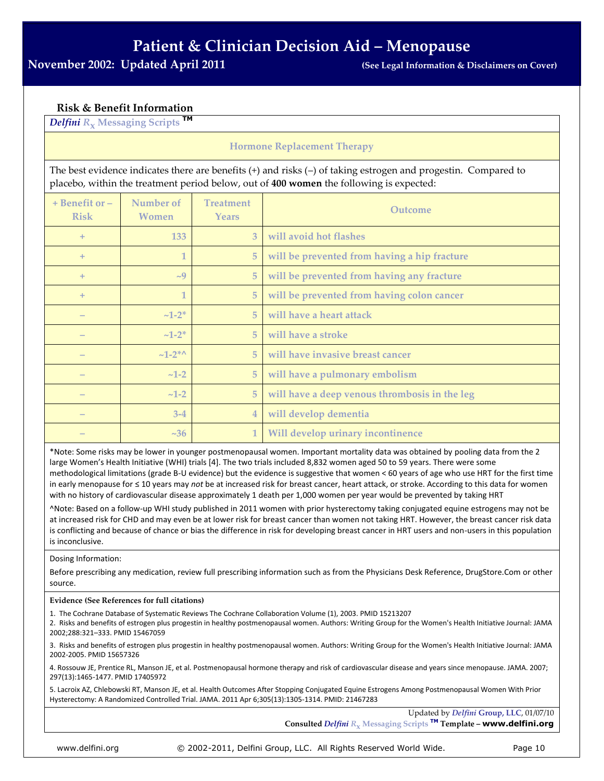#### **Risk & Benefit Information**

*Delfini <sup>R</sup>***<sup>x</sup> Messaging Scripts TM** 

#### **Hormone Replacement Therapy**

The best evidence indicates there are benefits (+) and risks (–) of taking estrogen and progestin. Compared to placebo, within the treatment period below, out of **400 women** the following is expected:

| $+$ Benefit or $-$<br><b>Risk</b> | Number of<br><b>Women</b> | <b>Treatment</b><br>Years | Outcome                                       |
|-----------------------------------|---------------------------|---------------------------|-----------------------------------------------|
| $+$                               | 133                       | 3                         | will avoid hot flashes                        |
| $+$                               | 1                         | 5                         | will be prevented from having a hip fracture  |
| $+$                               | $\sim 9$                  | 5                         | will be prevented from having any fracture    |
| $+$                               | 1                         | 5                         | will be prevented from having colon cancer    |
|                                   | $~1 - 2^*$                | 5                         | will have a heart attack                      |
|                                   | $~1 - 2^*$                | 5                         | will have a stroke                            |
|                                   | $~1 - 2^{*\wedge}$        | 5                         | will have invasive breast cancer              |
|                                   | $~1 - 2$                  | 5                         | will have a pulmonary embolism                |
|                                   | $~1 - 2$                  | 5                         | will have a deep venous thrombosis in the leg |
|                                   | $3 - 4$                   | $\overline{4}$            | will develop dementia                         |
|                                   | ~236                      | $\mathbf{1}$              | Will develop urinary incontinence             |

\*Note: Some risks may be lower in younger postmenopausal women. Important mortality data was obtained by pooling data from the 2 large Women's Health Initiative (WHI) trials [4]. The two trials included 8,832 women aged 50 to 59 years. There were some methodological limitations (grade B-U evidence) but the evidence is suggestive that women < 60 years of age who use HRT for the first time in early menopause for ≤ 10 years may *not* be at increased risk for breast cancer, heart attack, or stroke. According to this data for women with no history of cardiovascular disease approximately 1 death per 1,000 women per year would be prevented by taking HRT

^Note: Based on a follow-up WHI study published in 2011 women with prior hysterectomy taking conjugated equine estrogens may not be at increased risk for CHD and may even be at lower risk for breast cancer than women not taking HRT. However, the breast cancer risk data is conflicting and because of chance or bias the difference in risk for developing breast cancer in HRT users and non-users in this population is inconclusive.

Dosing Information:

Before prescribing any medication, review full prescribing information such as from the Physicians Desk Reference, DrugStore.Com or other source.

#### **Evidence (See References for full citations)**

1. The Cochrane Database of Systematic Reviews The Cochrane Collaboration Volume (1), 2003. PMID 15213207

2. Risks and benefits of estrogen plus progestin in healthy postmenopausal women. Authors: Writing Group for the Women's Health Initiative Journal: JAMA 2002;288:321–333. PMID 15467059

3. Risks and benefits of estrogen plus progestin in healthy postmenopausal women. Authors: Writing Group for the Women's Health Initiative Journal: JAMA 2002-2005. PMID 15657326

4. Rossouw JE, Prentice RL, Manson JE, et al. Postmenopausal hormone therapy and risk of cardiovascular disease and years since menopause. JAMA. 2007; 297(13):1465-1477. PMID 17405972

5. Lacroix AZ, Chlebowski RT, Manson JE, et al. Health Outcomes After Stopping Conjugated Equine Estrogens Among Postmenopausal Women With Prior Hysterectomy: A Randomized Controlled Trial. JAMA. 2011 Apr 6;305(13):1305-1314. PMID: 21467283

Updated by *Delfini* **Group, LLC**, 01/07/10

**Consulted** *Delfini <sup>R</sup>***<sup>x</sup> Messaging Scripts TM Template – www.delfini.org** 

www.delfini.org © 2002-2011, Delfini Group, LLC. All Rights Reserved World Wide. Page 10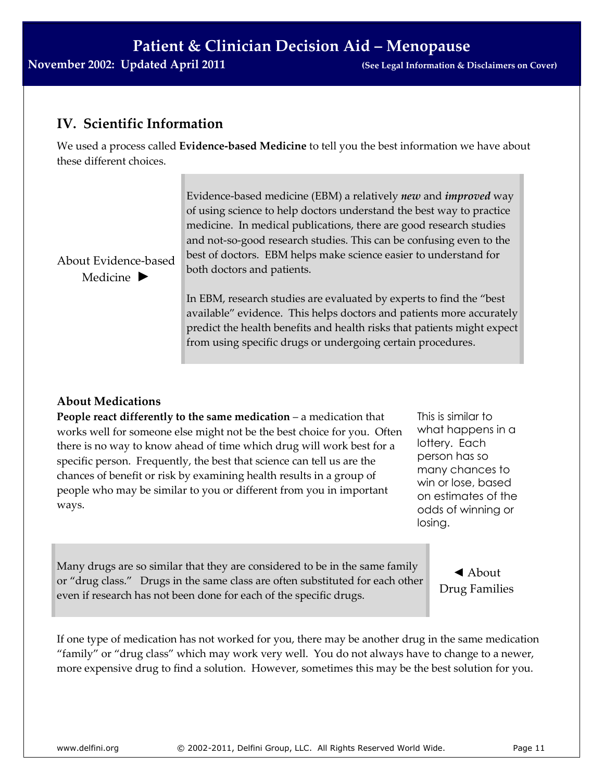### **IV. Scientific Information**

We used a process called **Evidence-based Medicine** to tell you the best information we have about these different choices.

About Evidence-based Medicine **►**

Evidence-based medicine (EBM) a relatively *new* and *improved* way of using science to help doctors understand the best way to practice medicine. In medical publications, there are good research studies and not-so-good research studies. This can be confusing even to the best of doctors. EBM helps make science easier to understand for both doctors and patients.

In EBM, research studies are evaluated by experts to find the "best available" evidence. This helps doctors and patients more accurately predict the health benefits and health risks that patients might expect from using specific drugs or undergoing certain procedures.

#### **About Medications**

**People react differently to the same medication** – a medication that works well for someone else might not be the best choice for you. Often there is no way to know ahead of time which drug will work best for a specific person. Frequently, the best that science can tell us are the chances of benefit or risk by examining health results in a group of people who may be similar to you or different from you in important ways.

This is similar to what happens in a lottery. Each person has so many chances to win or lose, based on estimates of the odds of winning or losing.

Many drugs are so similar that they are considered to be in the same family or "drug class." Drugs in the same class are often substituted for each other even if research has not been done for each of the specific drugs.

◄ About Drug Families

If one type of medication has not worked for you, there may be another drug in the same medication "family" or "drug class" which may work very well. You do not always have to change to a newer, more expensive drug to find a solution. However, sometimes this may be the best solution for you.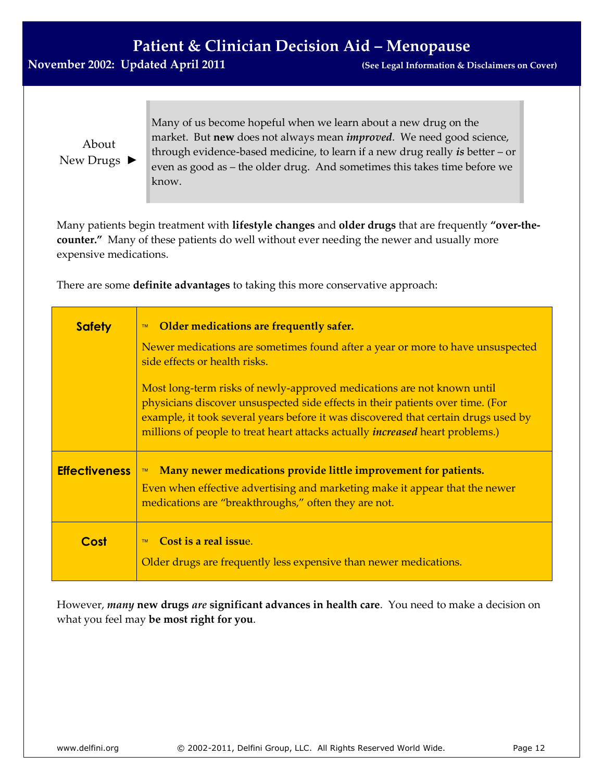### **November 2002: Updated April 2011 (See Legal Information & Disclaimers on Cover)**

About New Drugs ► Many of us become hopeful when we learn about a new drug on the market. But **new** does not always mean *improved*. We need good science, through evidence-based medicine, to learn if a new drug really *is* better – or even as good as – the older drug. And sometimes this takes time before we know.

Many patients begin treatment with **lifestyle changes** and **older drugs** that are frequently **"over-thecounter."** Many of these patients do well without ever needing the newer and usually more expensive medications.

There are some **definite advantages** to taking this more conservative approach:

| <b>Safety</b>        | Older medications are frequently safer.<br><b>TM</b>                                                                                                                                                                                                                                                                                   |
|----------------------|----------------------------------------------------------------------------------------------------------------------------------------------------------------------------------------------------------------------------------------------------------------------------------------------------------------------------------------|
|                      | Newer medications are sometimes found after a year or more to have unsuspected<br>side effects or health risks.                                                                                                                                                                                                                        |
|                      | Most long-term risks of newly-approved medications are not known until<br>physicians discover unsuspected side effects in their patients over time. (For<br>example, it took several years before it was discovered that certain drugs used by<br>millions of people to treat heart attacks actually <i>increased</i> heart problems.) |
| <b>Effectiveness</b> | Many newer medications provide little improvement for patients.<br>TM<br>Even when effective advertising and marketing make it appear that the newer<br>medications are "breakthroughs," often they are not.                                                                                                                           |
| Cost                 | Cost is a real issue.<br><b>TM</b><br>Older drugs are frequently less expensive than newer medications.                                                                                                                                                                                                                                |

However, *many* **new drugs** *are* **significant advances in health care**. You need to make a decision on what you feel may **be most right for you**.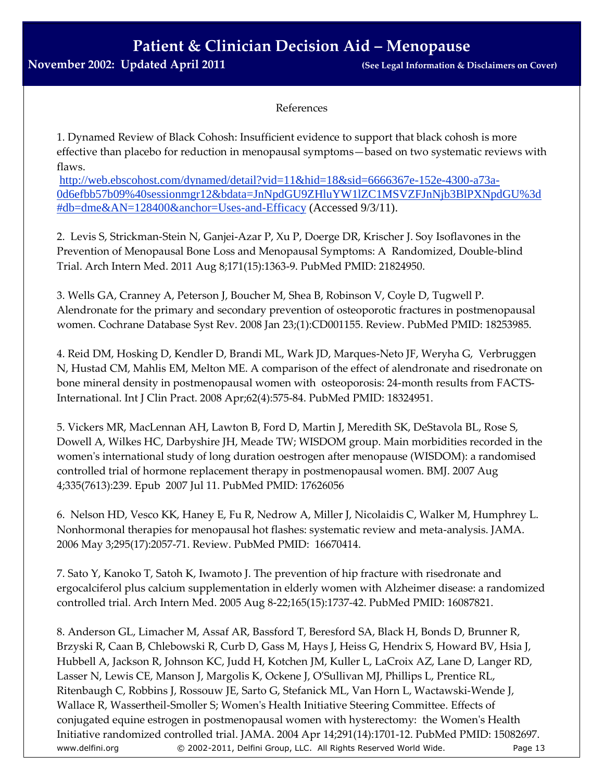#### References

1. Dynamed Review of Black Cohosh: Insufficient evidence to support that black cohosh is more effective than placebo for reduction in menopausal symptoms—based on two systematic reviews with flaws.

[http://web.ebscohost.com/dynamed/detail?vid=11&hid=18&sid=6666367e-152e-4300-a73a-](http://web.ebscohost.com/dynamed/detail?vid=11&hid=18&sid=6666367e-152e-4300-a73a-0d6efbb57b09%40sessionmgr12&bdata=JnNpdGU9ZHluYW1lZC1MSVZFJnNjb3BlPXNpdGU%3d#db=dme&AN=128400&anchor=Uses-and-Efficacy)[0d6efbb57b09%40sessionmgr12&bdata=JnNpdGU9ZHluYW1lZC1MSVZFJnNjb3BlPXNpdGU%3d](http://web.ebscohost.com/dynamed/detail?vid=11&hid=18&sid=6666367e-152e-4300-a73a-0d6efbb57b09%40sessionmgr12&bdata=JnNpdGU9ZHluYW1lZC1MSVZFJnNjb3BlPXNpdGU%3d#db=dme&AN=128400&anchor=Uses-and-Efficacy) [#db=dme&AN=128400&anchor=Uses-and-Efficacy](http://web.ebscohost.com/dynamed/detail?vid=11&hid=18&sid=6666367e-152e-4300-a73a-0d6efbb57b09%40sessionmgr12&bdata=JnNpdGU9ZHluYW1lZC1MSVZFJnNjb3BlPXNpdGU%3d#db=dme&AN=128400&anchor=Uses-and-Efficacy) (Accessed 9/3/11).

2. Levis S, Strickman-Stein N, Ganjei-Azar P, Xu P, Doerge DR, Krischer J. Soy Isoflavones in the Prevention of Menopausal Bone Loss and Menopausal Symptoms: A Randomized, Double-blind Trial. Arch Intern Med. 2011 Aug 8;171(15):1363-9. PubMed PMID: 21824950.

3. Wells GA, Cranney A, Peterson J, Boucher M, Shea B, Robinson V, Coyle D, Tugwell P. Alendronate for the primary and secondary prevention of osteoporotic fractures in postmenopausal women. Cochrane Database Syst Rev. 2008 Jan 23;(1):CD001155. Review. PubMed PMID: 18253985.

4. Reid DM, Hosking D, Kendler D, Brandi ML, Wark JD, Marques-Neto JF, Weryha G, Verbruggen N, Hustad CM, Mahlis EM, Melton ME. A comparison of the effect of alendronate and risedronate on bone mineral density in postmenopausal women with osteoporosis: 24-month results from FACTS-International. Int J Clin Pract. 2008 Apr;62(4):575-84. PubMed PMID: 18324951.

5. Vickers MR, MacLennan AH, Lawton B, Ford D, Martin J, Meredith SK, DeStavola BL, Rose S, Dowell A, Wilkes HC, Darbyshire JH, Meade TW; WISDOM group. Main morbidities recorded in the women's international study of long duration oestrogen after menopause (WISDOM): a randomised controlled trial of hormone replacement therapy in postmenopausal women. BMJ. 2007 Aug 4;335(7613):239. Epub 2007 Jul 11. PubMed PMID: 17626056

6. Nelson HD, Vesco KK, Haney E, Fu R, Nedrow A, Miller J, Nicolaidis C, Walker M, Humphrey L. Nonhormonal therapies for menopausal hot flashes: systematic review and meta-analysis. JAMA. 2006 May 3;295(17):2057-71. Review. PubMed PMID: 16670414.

7. Sato Y, Kanoko T, Satoh K, Iwamoto J. The prevention of hip fracture with risedronate and ergocalciferol plus calcium supplementation in elderly women with Alzheimer disease: a randomized controlled trial. Arch Intern Med. 2005 Aug 8-22;165(15):1737-42. PubMed PMID: 16087821.

www.delfini.org © 2002-2011, Delfini Group, LLC. All Rights Reserved World Wide. Page 13 8. Anderson GL, Limacher M, Assaf AR, Bassford T, Beresford SA, Black H, Bonds D, Brunner R, Brzyski R, Caan B, Chlebowski R, Curb D, Gass M, Hays J, Heiss G, Hendrix S, Howard BV, Hsia J, Hubbell A, Jackson R, Johnson KC, Judd H, Kotchen JM, Kuller L, LaCroix AZ, Lane D, Langer RD, Lasser N, Lewis CE, Manson J, Margolis K, Ockene J, O'Sullivan MJ, Phillips L, Prentice RL, Ritenbaugh C, Robbins J, Rossouw JE, Sarto G, Stefanick ML, Van Horn L, Wactawski-Wende J, Wallace R, Wassertheil-Smoller S; Women's Health Initiative Steering Committee. Effects of conjugated equine estrogen in postmenopausal women with hysterectomy: the Women's Health Initiative randomized controlled trial. JAMA. 2004 Apr 14;291(14):1701-12. PubMed PMID: 15082697.